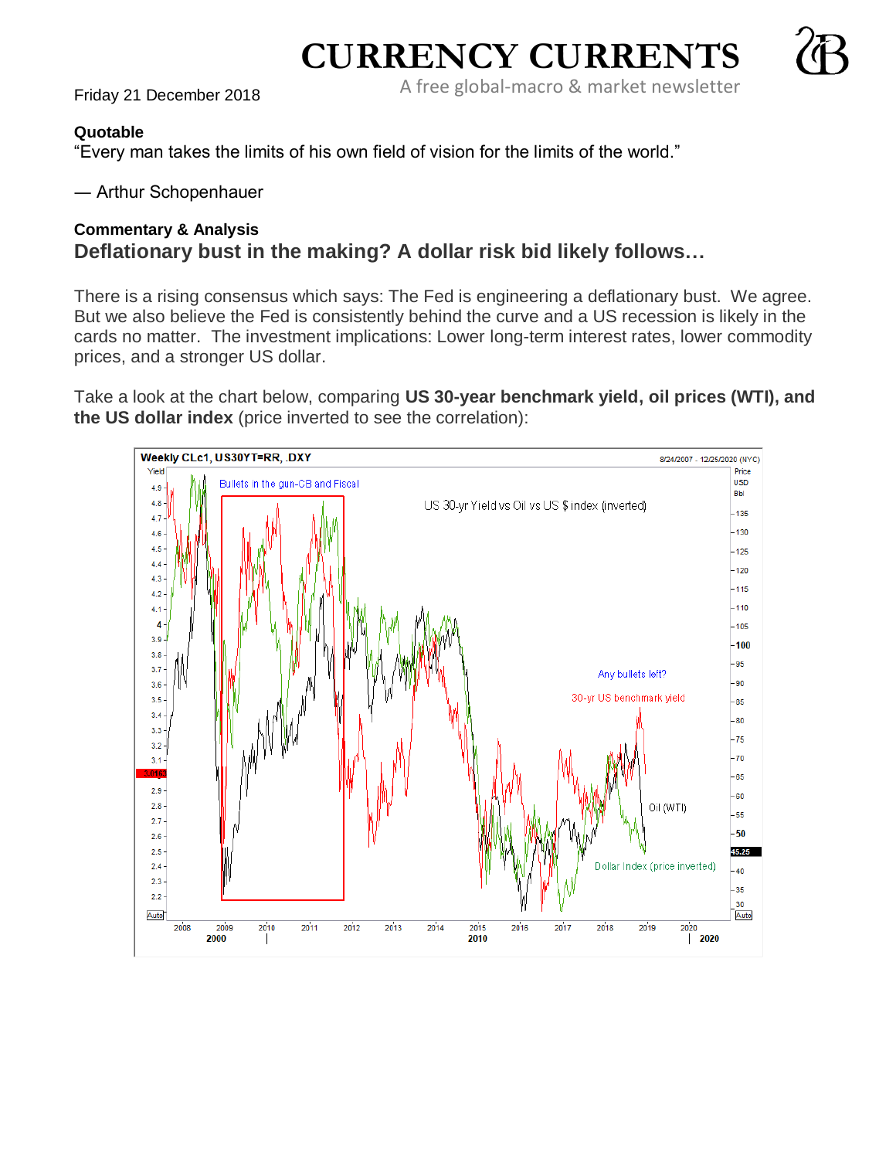A free global-macro & market newsletter Friday 21 December <sup>2018</sup>

**CURRENCY CURRENTS**

## **Quotable**

"Every man takes the limits of his own field of vision for the limits of the world."

― Arthur Schopenhauer

## **Commentary & Analysis Deflationary bust in the making? A dollar risk bid likely follows…**

There is a rising consensus which says: The Fed is engineering a deflationary bust. We agree. But we also believe the Fed is consistently behind the curve and a US recession is likely in the cards no matter. The investment implications: Lower long-term interest rates, lower commodity prices, and a stronger US dollar.

Take a look at the chart below, comparing **US 30-year benchmark yield, oil prices (WTI), and the US dollar index** (price inverted to see the correlation):

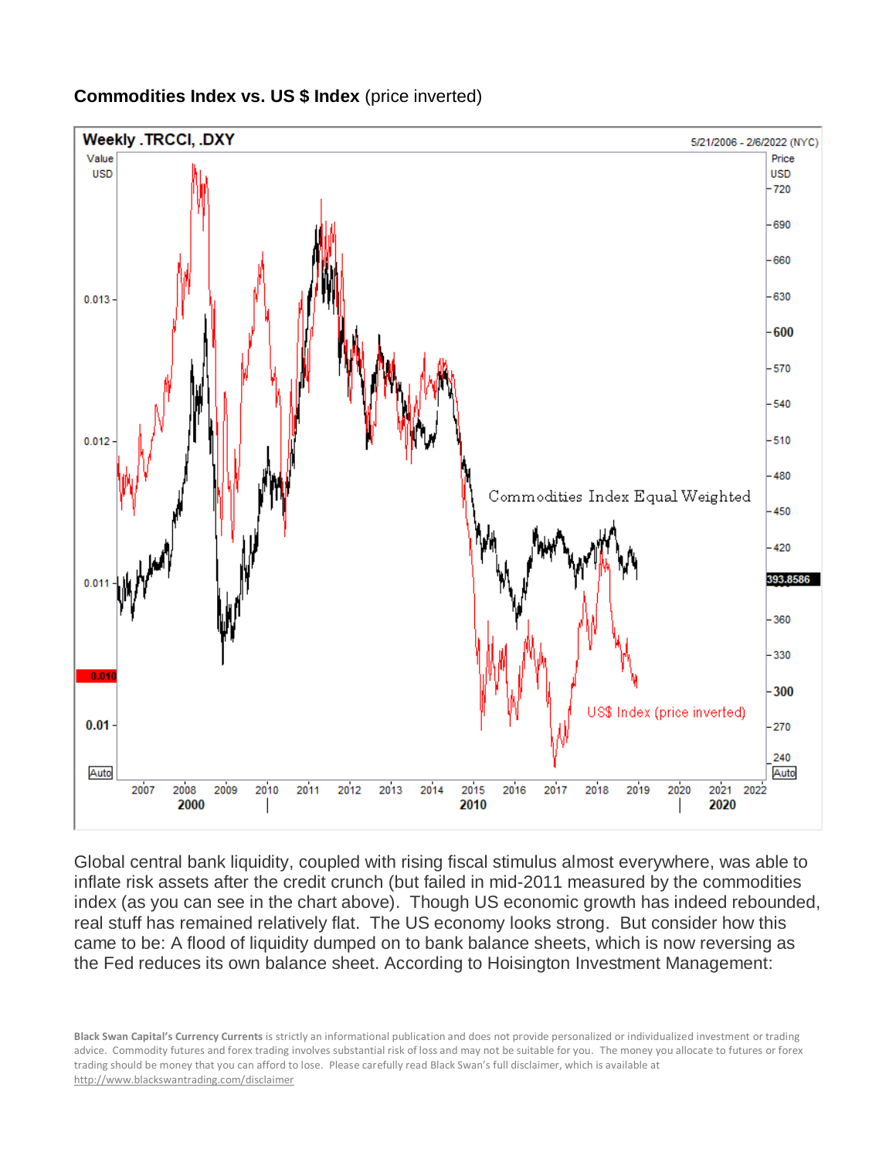

## **Commodities Index vs. US \$ Index** (price inverted)

Global central bank liquidity, coupled with rising fiscal stimulus almost everywhere, was able to inflate risk assets after the credit crunch (but failed in mid-2011 measured by the commodities index (as you can see in the chart above). Though US economic growth has indeed rebounded, real stuff has remained relatively flat. The US economy looks strong. But consider how this came to be: A flood of liquidity dumped on to bank balance sheets, which is now reversing as the Fed reduces its own balance sheet. According to Hoisington Investment Management: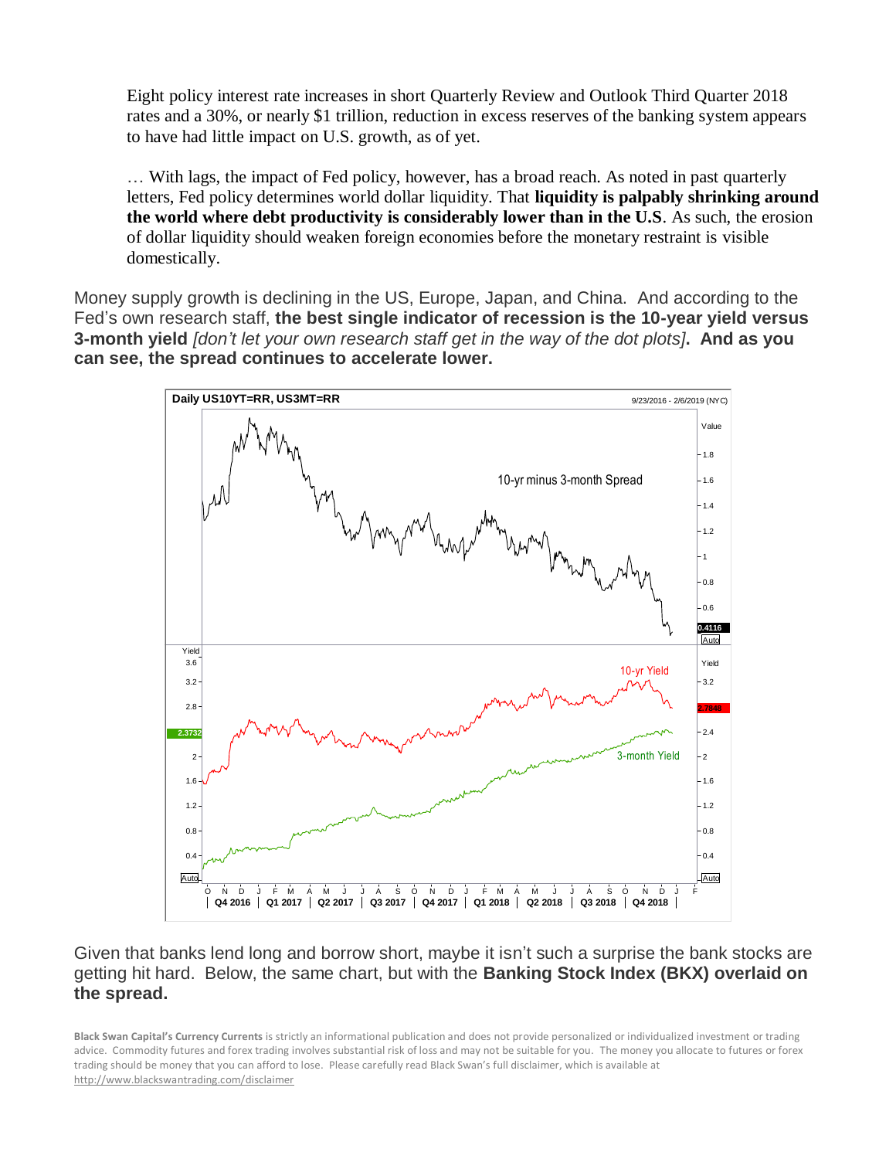Eight policy interest rate increases in short Quarterly Review and Outlook Third Quarter 2018 rates and a 30%, or nearly \$1 trillion, reduction in excess reserves of the banking system appears to have had little impact on U.S. growth, as of yet.

… With lags, the impact of Fed policy, however, has a broad reach. As noted in past quarterly letters, Fed policy determines world dollar liquidity. That **liquidity is palpably shrinking around the world where debt productivity is considerably lower than in the U.S**. As such, the erosion of dollar liquidity should weaken foreign economies before the monetary restraint is visible domestically.

Money supply growth is declining in the US, Europe, Japan, and China. And according to the Fed's own research staff, **the best single indicator of recession is the 10-year yield versus 3-month yield** *[don't let your own research staff get in the way of the dot plots]***. And as you can see, the spread continues to accelerate lower.**



Given that banks lend long and borrow short, maybe it isn't such a surprise the bank stocks are getting hit hard. Below, the same chart, but with the **Banking Stock Index (BKX) overlaid on the spread.**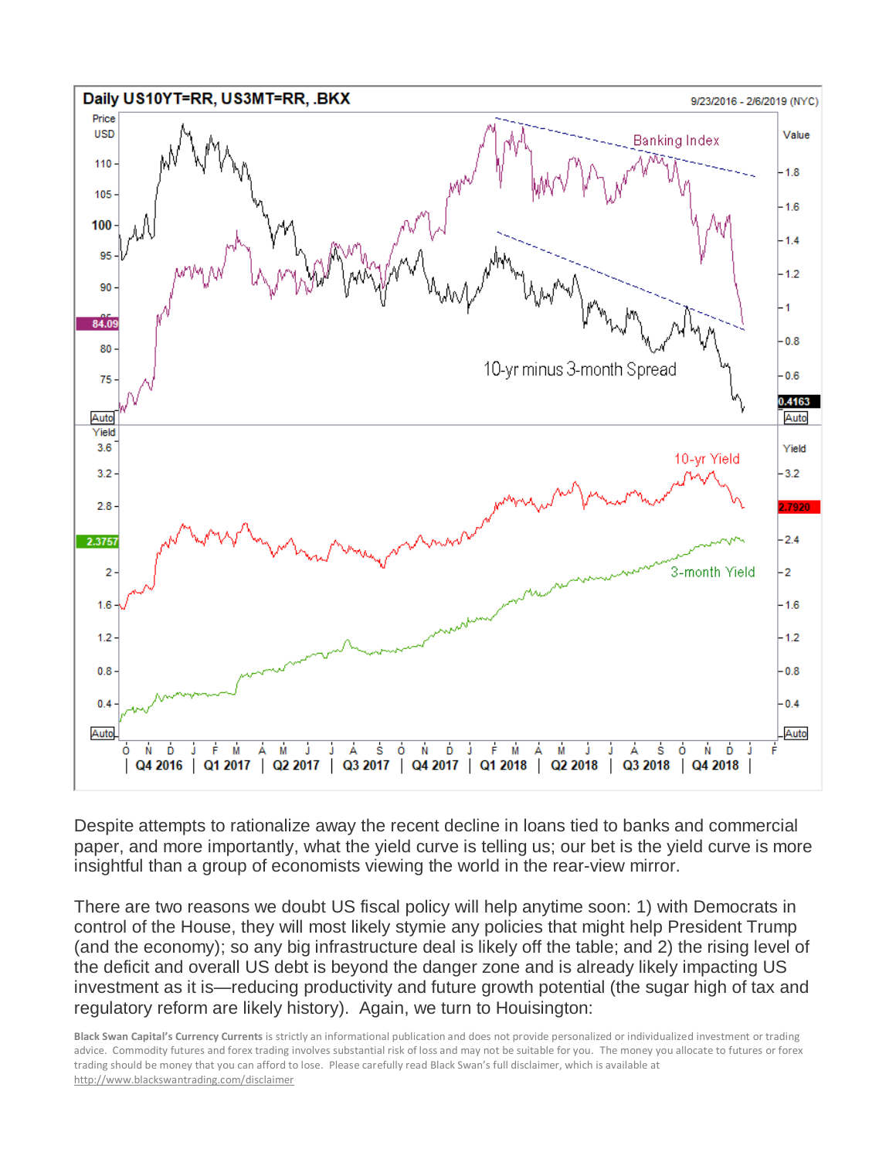

Despite attempts to rationalize away the recent decline in loans tied to banks and commercial paper, and more importantly, what the yield curve is telling us; our bet is the yield curve is more insightful than a group of economists viewing the world in the rear-view mirror.

There are two reasons we doubt US fiscal policy will help anytime soon: 1) with Democrats in control of the House, they will most likely stymie any policies that might help President Trump (and the economy); so any big infrastructure deal is likely off the table; and 2) the rising level of the deficit and overall US debt is beyond the danger zone and is already likely impacting US investment as it is—reducing productivity and future growth potential (the sugar high of tax and regulatory reform are likely history). Again, we turn to Houisington: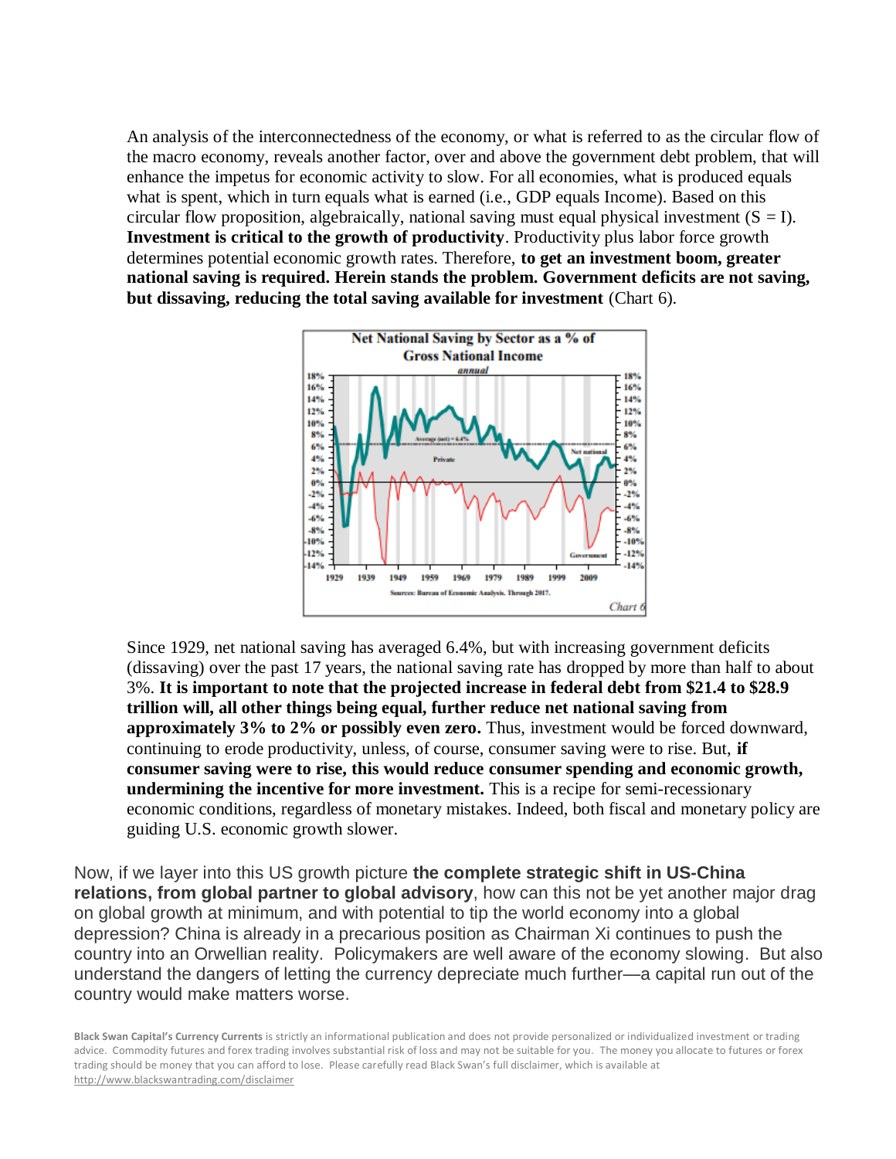An analysis of the interconnectedness of the economy, or what is referred to as the circular flow of the macro economy, reveals another factor, over and above the government debt problem, that will enhance the impetus for economic activity to slow. For all economies, what is produced equals what is spent, which in turn equals what is earned (i.e., GDP equals Income). Based on this circular flow proposition, algebraically, national saving must equal physical investment  $(S = I)$ . **Investment is critical to the growth of productivity**. Productivity plus labor force growth determines potential economic growth rates. Therefore, **to get an investment boom, greater national saving is required. Herein stands the problem. Government deficits are not saving, but dissaving, reducing the total saving available for investment** (Chart 6).



Since 1929, net national saving has averaged 6.4%, but with increasing government deficits (dissaving) over the past 17 years, the national saving rate has dropped by more than half to about 3%. **It is important to note that the projected increase in federal debt from \$21.4 to \$28.9 trillion will, all other things being equal, further reduce net national saving from approximately 3% to 2% or possibly even zero.** Thus, investment would be forced downward, continuing to erode productivity, unless, of course, consumer saving were to rise. But, **if consumer saving were to rise, this would reduce consumer spending and economic growth, undermining the incentive for more investment.** This is a recipe for semi-recessionary economic conditions, regardless of monetary mistakes. Indeed, both fiscal and monetary policy are guiding U.S. economic growth slower.

Now, if we layer into this US growth picture **the complete strategic shift in US-China relations, from global partner to global advisory**, how can this not be yet another major drag on global growth at minimum, and with potential to tip the world economy into a global depression? China is already in a precarious position as Chairman Xi continues to push the country into an Orwellian reality. Policymakers are well aware of the economy slowing. But also understand the dangers of letting the currency depreciate much further—a capital run out of the country would make matters worse.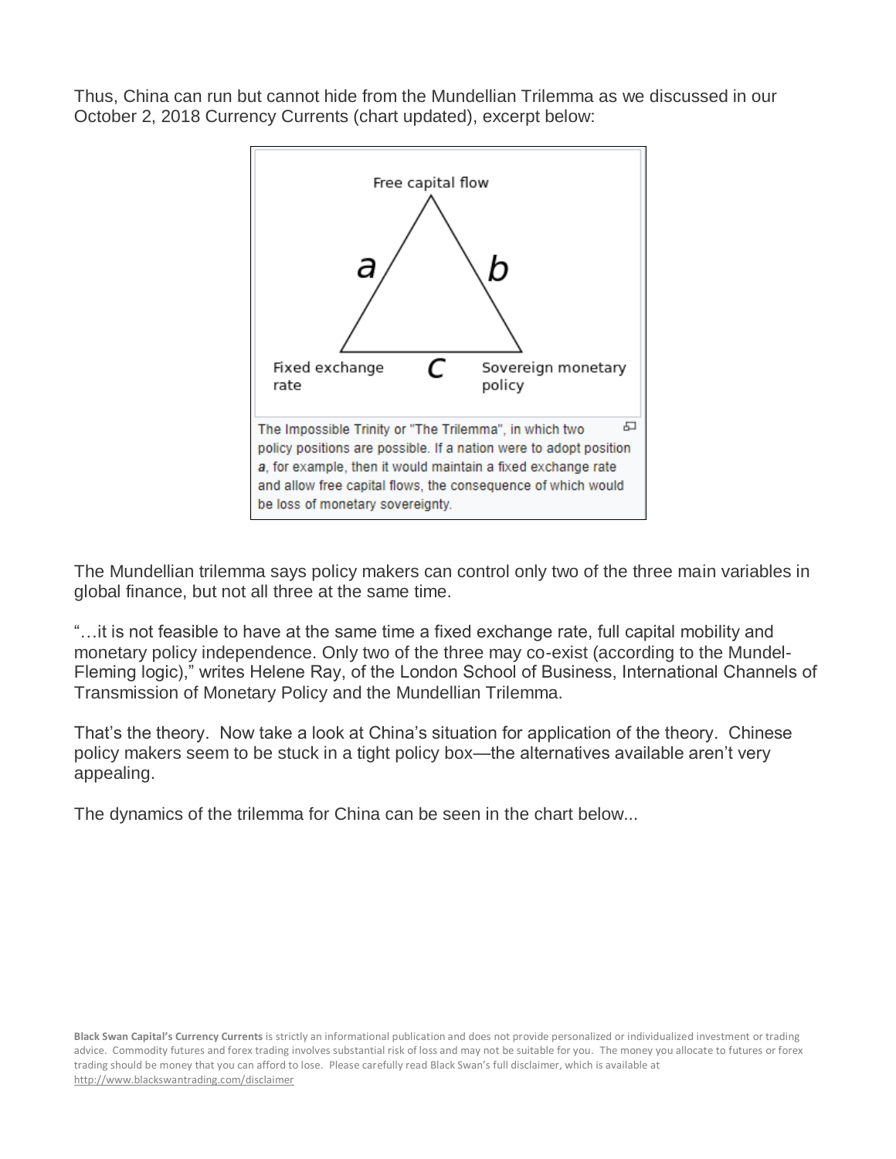Thus, China can run but cannot hide from the Mundellian Trilemma as we discussed in our October 2, 2018 Currency Currents (chart updated), excerpt below:



The Mundellian trilemma says policy makers can control only two of the three main variables in global finance, but not all three at the same time.

"…it is not feasible to have at the same time a fixed exchange rate, full capital mobility and monetary policy independence. Only two of the three may co-exist (according to the Mundel-Fleming logic)," writes Helene Ray, of the London School of Business, International Channels of Transmission of Monetary Policy and the Mundellian Trilemma.

That's the theory. Now take a look at China's situation for application of the theory. Chinese policy makers seem to be stuck in a tight policy box—the alternatives available aren't very appealing.

The dynamics of the trilemma for China can be seen in the chart below...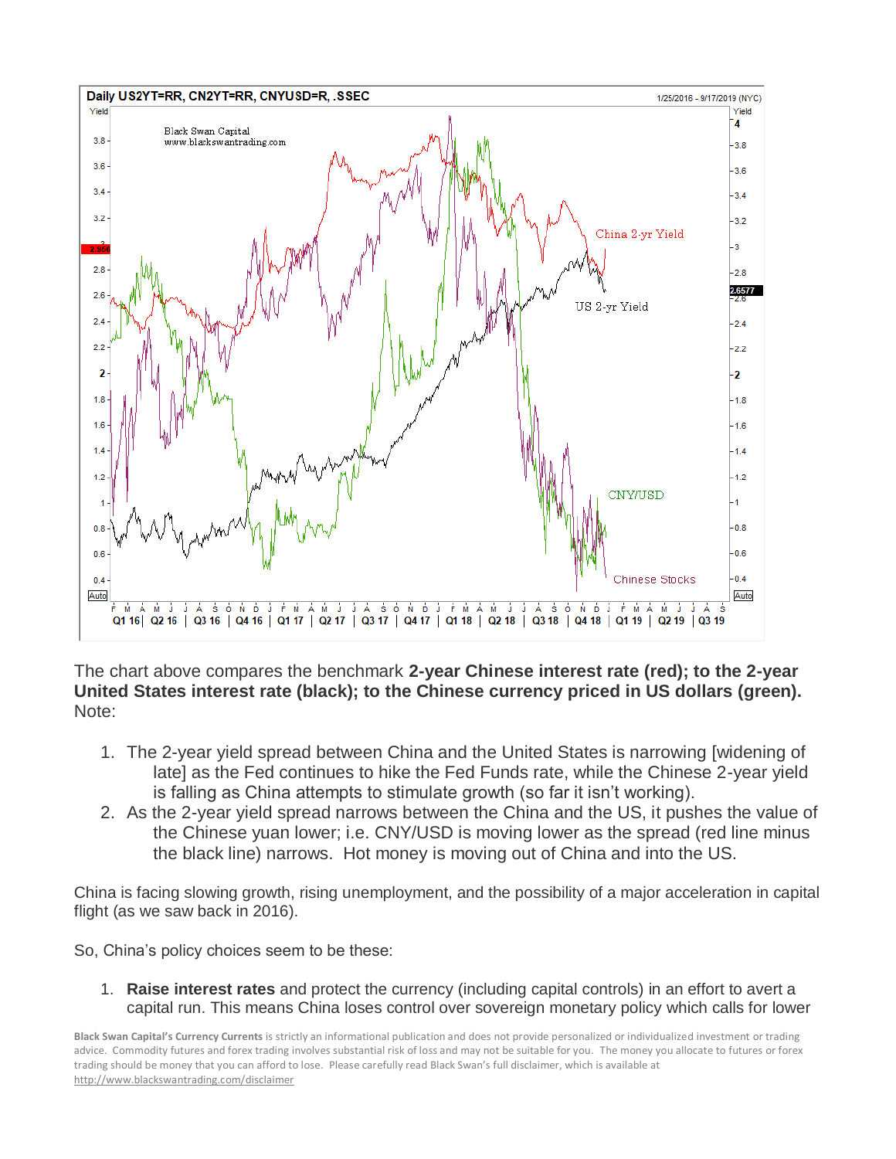

The chart above compares the benchmark **2-year Chinese interest rate (red); to the 2-year United States interest rate (black); to the Chinese currency priced in US dollars (green).** Note:

- 1. The 2-year yield spread between China and the United States is narrowing [widening of late] as the Fed continues to hike the Fed Funds rate, while the Chinese 2-year yield is falling as China attempts to stimulate growth (so far it isn't working).
- 2. As the 2-year yield spread narrows between the China and the US, it pushes the value of the Chinese yuan lower; i.e. CNY/USD is moving lower as the spread (red line minus the black line) narrows. Hot money is moving out of China and into the US.

China is facing slowing growth, rising unemployment, and the possibility of a major acceleration in capital flight (as we saw back in 2016).

So, China's policy choices seem to be these:

1. **Raise interest rates** and protect the currency (including capital controls) in an effort to avert a capital run. This means China loses control over sovereign monetary policy which calls for lower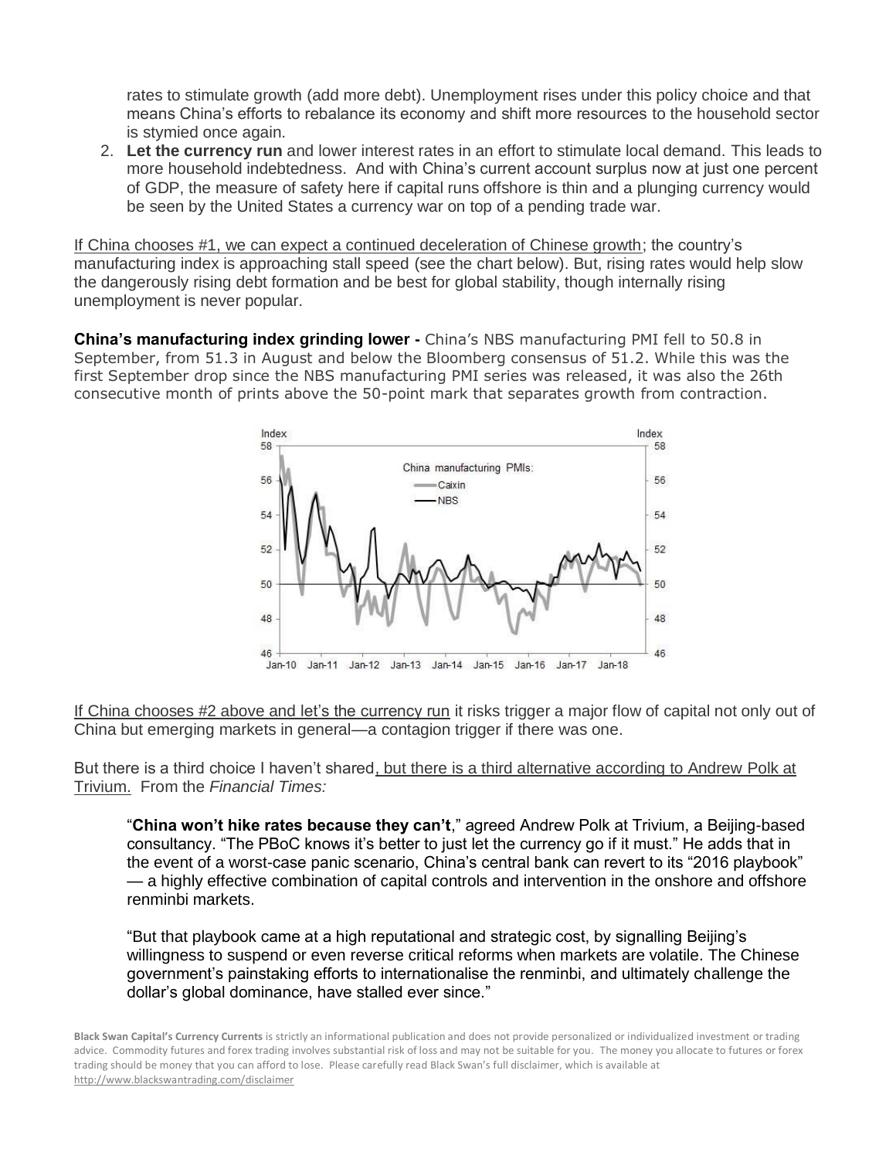rates to stimulate growth (add more debt). Unemployment rises under this policy choice and that means China's efforts to rebalance its economy and shift more resources to the household sector is stymied once again.

2. **Let the currency run** and lower interest rates in an effort to stimulate local demand. This leads to more household indebtedness. And with China's current account surplus now at just one percent of GDP, the measure of safety here if capital runs offshore is thin and a plunging currency would be seen by the United States a currency war on top of a pending trade war.

If China chooses #1, we can expect a continued deceleration of Chinese growth; the country's manufacturing index is approaching stall speed (see the chart below). But, rising rates would help slow the dangerously rising debt formation and be best for global stability, though internally rising unemployment is never popular.

**China's manufacturing index grinding lower -** China's NBS manufacturing PMI fell to 50.8 in September, from 51.3 in August and below the Bloomberg consensus of 51.2. While this was the first September drop since the NBS manufacturing PMI series was released, it was also the 26th consecutive month of prints above the 50-point mark that separates growth from contraction.



If China chooses #2 above and let's the currency run it risks trigger a major flow of capital not only out of China but emerging markets in general—a contagion trigger if there was one.

But there is a third choice I haven't shared, but there is a third alternative according to Andrew Polk at Trivium. From the *Financial Times:*

"**China won't hike rates because they can't**," agreed Andrew Polk at Trivium, a Beijing-based consultancy. "The PBoC knows it's better to just let the currency go if it must." He adds that in the event of a worst-case panic scenario, China's central bank can revert to its "2016 playbook" — a highly effective combination of capital controls and intervention in the onshore and offshore renminbi markets.

"But that playbook came at a high reputational and strategic cost, by signalling Beijing's willingness to suspend or even reverse critical reforms when markets are volatile. The Chinese government's painstaking efforts to internationalise the renminbi, and ultimately challenge the dollar's global dominance, have stalled ever since."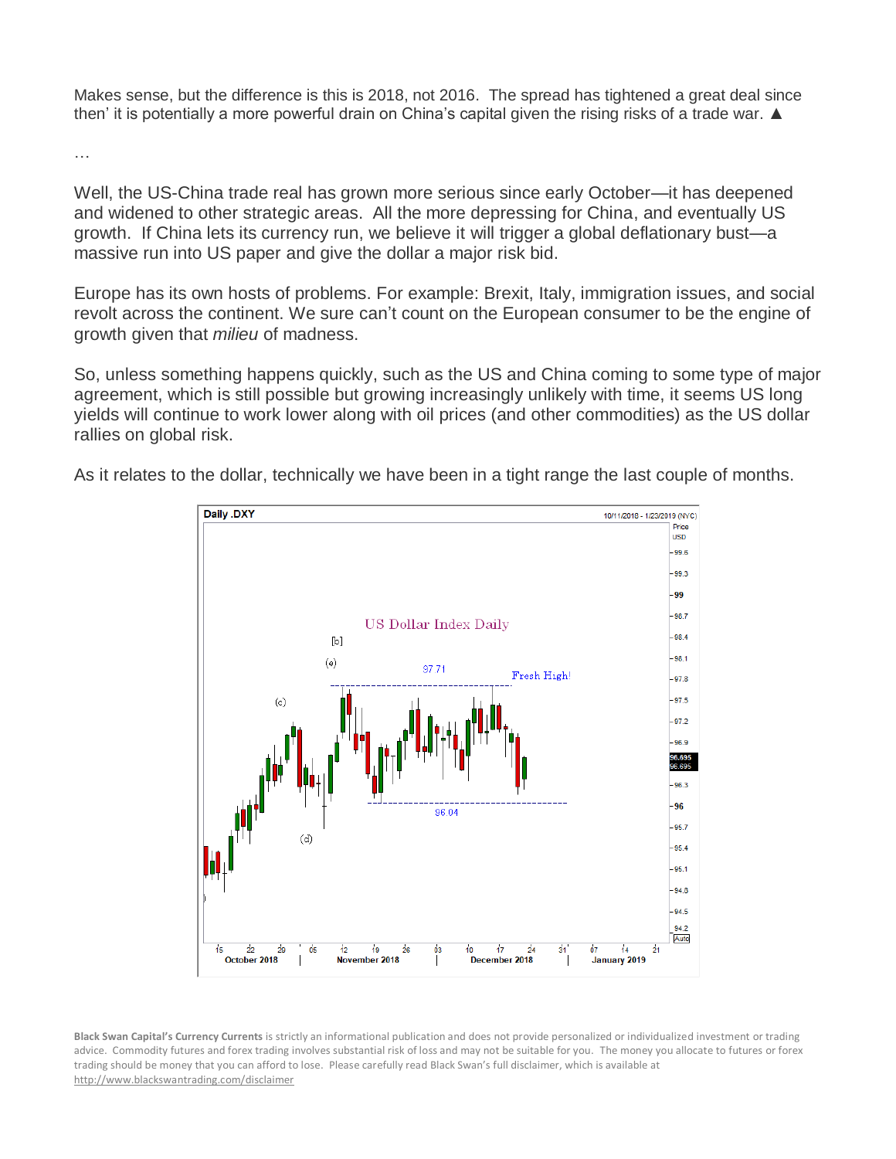Makes sense, but the difference is this is 2018, not 2016. The spread has tightened a great deal since then' it is potentially a more powerful drain on China's capital given the rising risks of a trade war. ▲

…

Well, the US-China trade real has grown more serious since early October—it has deepened and widened to other strategic areas. All the more depressing for China, and eventually US growth. If China lets its currency run, we believe it will trigger a global deflationary bust—a massive run into US paper and give the dollar a major risk bid.

Europe has its own hosts of problems. For example: Brexit, Italy, immigration issues, and social revolt across the continent. We sure can't count on the European consumer to be the engine of growth given that *milieu* of madness.

So, unless something happens quickly, such as the US and China coming to some type of major agreement, which is still possible but growing increasingly unlikely with time, it seems US long yields will continue to work lower along with oil prices (and other commodities) as the US dollar rallies on global risk.



**US Dollar Index Daily** 

Fresh High!

 $[b]$ 

 $(e)$ 

 $\left(\mathrm{e}\right)$ 

99 98.7

QR 4

98.1

97.8 97.5

 $97.2$ 96.9

96.3 96

As it relates to the dollar, technically we have been in a tight range the last couple of months.